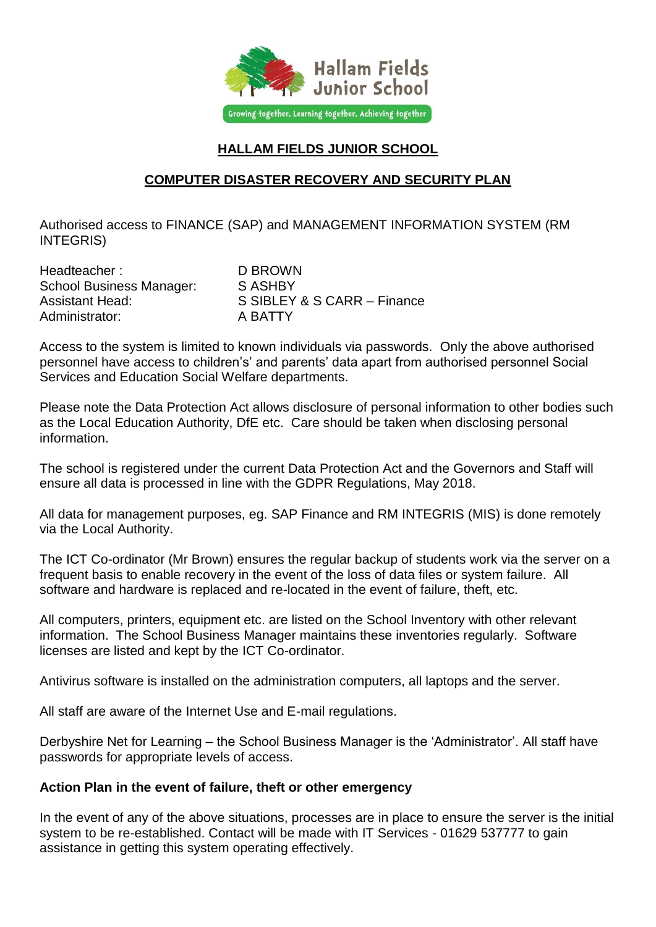

## **HALLAM FIELDS JUNIOR SCHOOL**

## **COMPUTER DISASTER RECOVERY AND SECURITY PLAN**

Authorised access to FINANCE (SAP) and MANAGEMENT INFORMATION SYSTEM (RM INTEGRIS)

| Headteacher:                    | D BROWN                     |
|---------------------------------|-----------------------------|
| <b>School Business Manager:</b> | S ASHBY                     |
| <b>Assistant Head:</b>          | S SIBLEY & S CARR - Finance |
| Administrator:                  | A BATTY                     |

Access to the system is limited to known individuals via passwords. Only the above authorised personnel have access to children's' and parents' data apart from authorised personnel Social Services and Education Social Welfare departments.

Please note the Data Protection Act allows disclosure of personal information to other bodies such as the Local Education Authority, DfE etc. Care should be taken when disclosing personal information.

The school is registered under the current Data Protection Act and the Governors and Staff will ensure all data is processed in line with the GDPR Regulations, May 2018.

All data for management purposes, eg. SAP Finance and RM INTEGRIS (MIS) is done remotely via the Local Authority.

The ICT Co-ordinator (Mr Brown) ensures the regular backup of students work via the server on a frequent basis to enable recovery in the event of the loss of data files or system failure. All software and hardware is replaced and re-located in the event of failure, theft, etc.

All computers, printers, equipment etc. are listed on the School Inventory with other relevant information. The School Business Manager maintains these inventories regularly. Software licenses are listed and kept by the ICT Co-ordinator.

Antivirus software is installed on the administration computers, all laptops and the server.

All staff are aware of the Internet Use and E-mail regulations.

Derbyshire Net for Learning – the School Business Manager is the 'Administrator'. All staff have passwords for appropriate levels of access.

## **Action Plan in the event of failure, theft or other emergency**

In the event of any of the above situations, processes are in place to ensure the server is the initial system to be re-established. Contact will be made with IT Services - 01629 537777 to gain assistance in getting this system operating effectively.